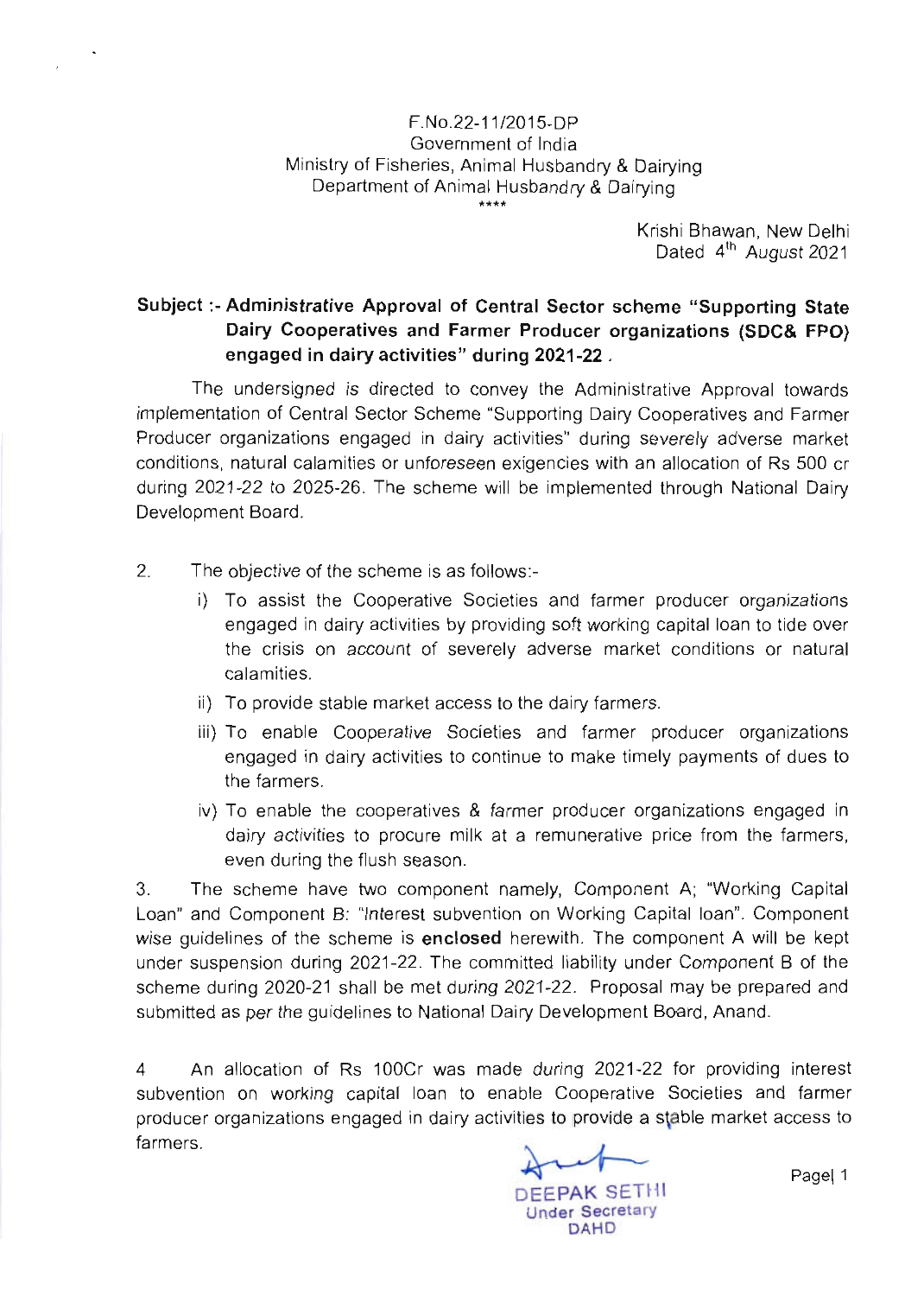#### F.No.22-1 11201s-DP Government of lndia Ministry of Fisheries, Animal Husbandry & Dairying Department of Animal Husbandry & Dairying  $***$

Krishi Bhawan, New Delhi Dated 4<sup>th</sup> August 2021

# Subject :- Administrative Approval of Central Sector scheme "Supporting State Dairy Cooperatives and Farmer Producer organizations (SDC& FPO) engaged in dairy activities" during 2021-22.

The undersigned is directed to convey the Administrative Approval towards implementation of central Sector scheme "supporting Dairy cooperatives and Farmer Producer organizations engaged in dairy activities" during severely adverse market conditions, natural calamities or unforeseen exigencies with an allocation of Rs 500 cr during 2021-22 to 2025-26. The scheme will be implemented through National Dairy Development Board.

2. The objective of the scheme is as follows:-

- i) To assist the Cooperative Societies and farmer producer organizations engaged in dairy activities by providing soft working capital loan to tide over the crisis on account of severely adverse market conditions or natural calamities.
- ii) To provide stable market access to the dairy farmers.
- iii) To enable cooperative Societies and farmer producer organizations engaged in dairy activities to continue to make timely payments of dues to the farmers.
- iv) To enable the cooperatives & farmer producer organizations engaged in dairy activities to procure milk at a remunerative price from the farmers, even during the flush season.

3. The scheme have two component namely, Component A; "Working Capital Loan" and Component B: "Interest subvention on Working Capital loan". Component wise guidelines of the scheme is **enclosed** herewith. The component A will be kept under suspension during 2021-22. The committed liability under component B of the scheme during 2020-21 shall be met during 2021-22. Proposal may be prepared and submitted as per the guidelines to National Dairy Development Board, Anand.

4 An allocation of Rs 100cr was made during 2o21-22 for providing interest subvention on working capital loan to enable Cooperative Societies and farmer producer organizations engaged in dairy activities to provide a S(able market access to farmers.

DEEPAK SETIlI Under SecretarY DAHD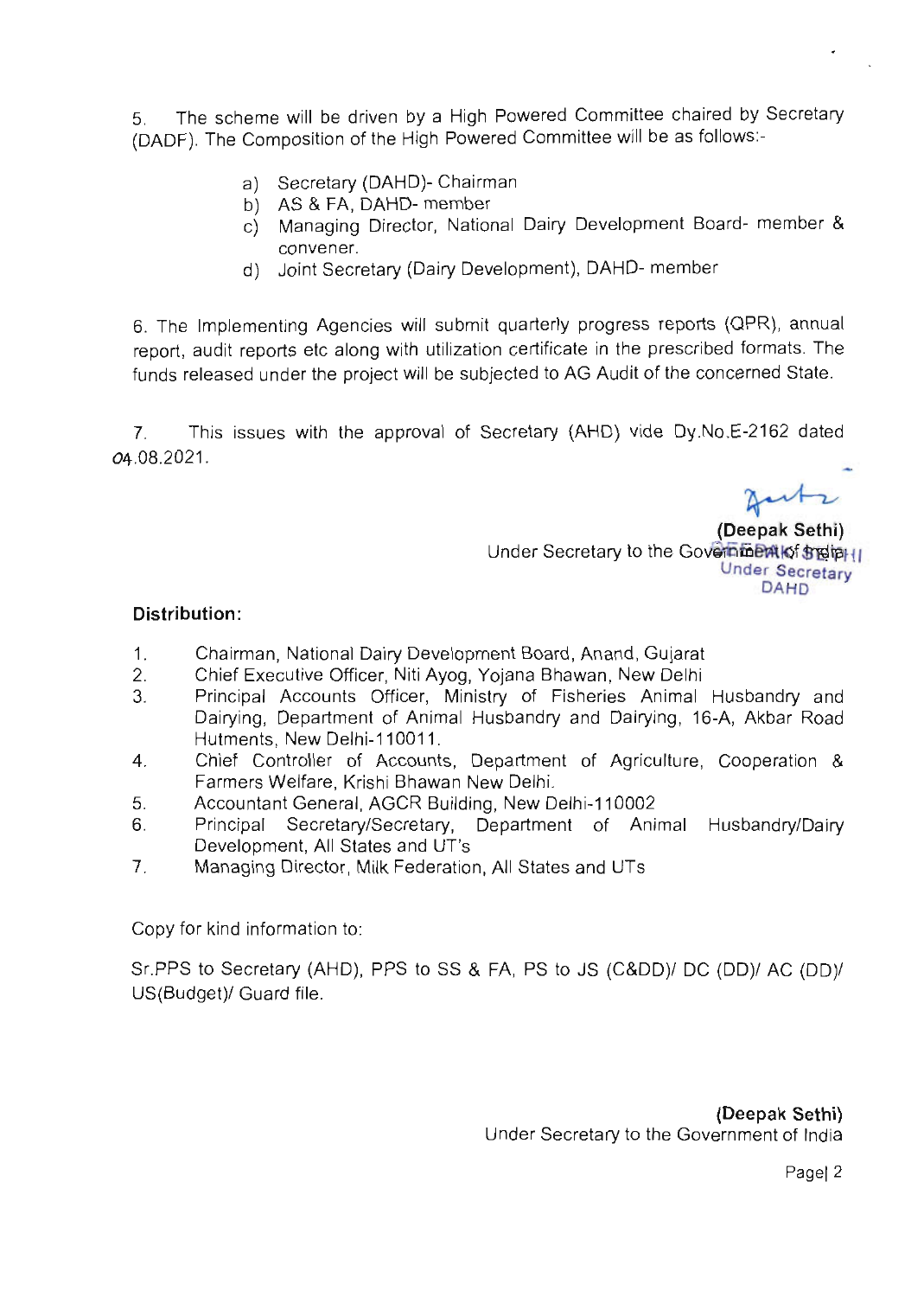5. The scheme will be driven by a High Powered Committee chaired by Secretary (DADF). The Composition of the High Powered Committee will be as follows:-

- a) Secretary (DAHD)- Chairman
- 
- b) AS & FA, DAHD- member<br>c) Managing Director, National Dairy Development Board- member & convener.
- d) Joint Secretary (Dairy Development), DAHD- member

6. The lmplementing Agencies will submit quarterly progress reports (QPR), annual report, audit reports etc along with utilization certificate in the prescribed formats. The funds released under the project will be subjected to AG Audit of the concerned State.

7. This issues with the approval of Secretary (AHD) vide Dy.No.E-2162 dated o+.08.2021 .

> (Deepak Sethi) Under Secretary to the Government of strein | DAHD

## Distribution:

- $1<sub>1</sub>$ Chairman, National Dairy Development Board, Anand, Gujarat
- 2. Chief Executive Officer, Niti Ayog, Yojana Bhawan, New Delhi
- 3 Principal Accounts Officer, Ministry of Fisheries Animal Husbandry and Dairying, Department of Animal Husbandry and Dairying, 16-A, Akbar Road Hutments, New Delhi-110011.
- Chief Controller of Accounts, Department of Agriculture, Cooperation & Farmers Welfare, Krishi Bhawan New Delhi. 4
- Accountant General, AGCR Building, New Delhi-110002 5
- Principal Secretary/Secretary, Department of Animal Husbandry/Dairy Development, All States and UT's  $6.$
- Managing Director, Milk Federation, All States and UTs 7

Copy for kind information to:

Sr.PPS to Secretary (AHD), PPS to SS & FA, PS to JS (C&DD)/ DC (DD)/ AC (DD)/ US(Budget)/ Guard file.

> (Deepak Sethi) Under Secretary to the Government of lndia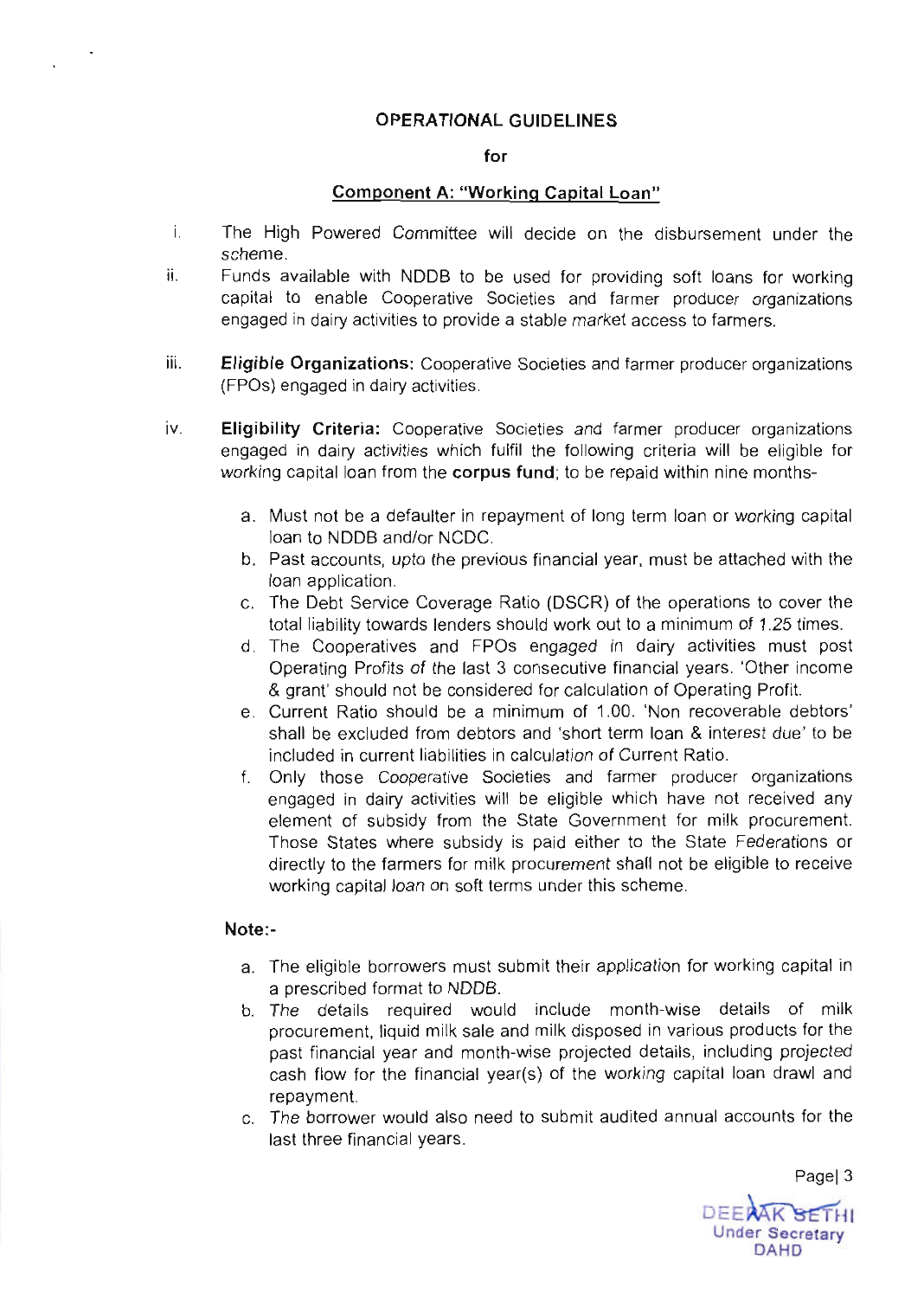#### OPERATIONAL GUIDELINES

#### for

#### Component A: "Workinq Capital Loan"

- The High Powered Committee will decide on the disbursement under the scheme. i.
- Funds available with NDDB to be used for providing soft loans for working ij. capital to enable Cooperative Societies and farmer producer organizations engaged in dairy activities to provide a stable market access to farmers.
- Eligible Organizations: Cooperative Societies and farmer producer organizations (FPOs) engaged in dairy activities. iii
- iv. Eligibility Criteria: Cooperative Societies and farmer producer organizations engaged in dairy activities which fulfil the following criteria will be eligible for working capital loan from the corpus fund; to be repaid within nine months
	- a. Must not be a defaulter in repayment of long term loan or working capital loan to NDDB and/or NCDC.
	- b. Past accounts, upto the previous financial year, must be attached with the loan application.
	- c. The Debt Service Coverage Ratio (DSCR) of the operations to cover the total liability towards lenders should work out to a minimum of 1.25 times.
	- d. The Cooperatives and FPOs engaged in dairy activities must post Operating Profits of the last 3 consecutive financial years. 'Other income & grant' should not be considered for calculation of Operating Profit.
	- e. Current Ratio should be a minimum of 1.00. 'Non recoverable debtors' shall be excluded from debtors and 'short term loan & interest due' to be included in current liabilities in calculation of Current Ratio.
	- f. Only those Cooperative Societies and farmer producer organizations engaged in dairy activities will be eligible which have not received any element of subsidy from the State Government for milk procurement. Those States where subsidy is paid either to the State Federations or directly to the farmers for milk procurement shall not be eligible to receive working capital loan on soft terms under this scheme.

## Note:-

- a. The eligible borrowers must submit their application for working capital in a prescribed format to NDDB.
- b. The details required would include month-wise details of milk procurement, liquid milk sale and milk disposed in various products for the past financial year and month-wise projected details, including projected cash flow for the financial year(s) of the working capital loan drawl and repayment.
- c. The borrower would also need to submit audited annual accounts for the last three financial years.

DEETAK SETHI **Under Secretary** DAHD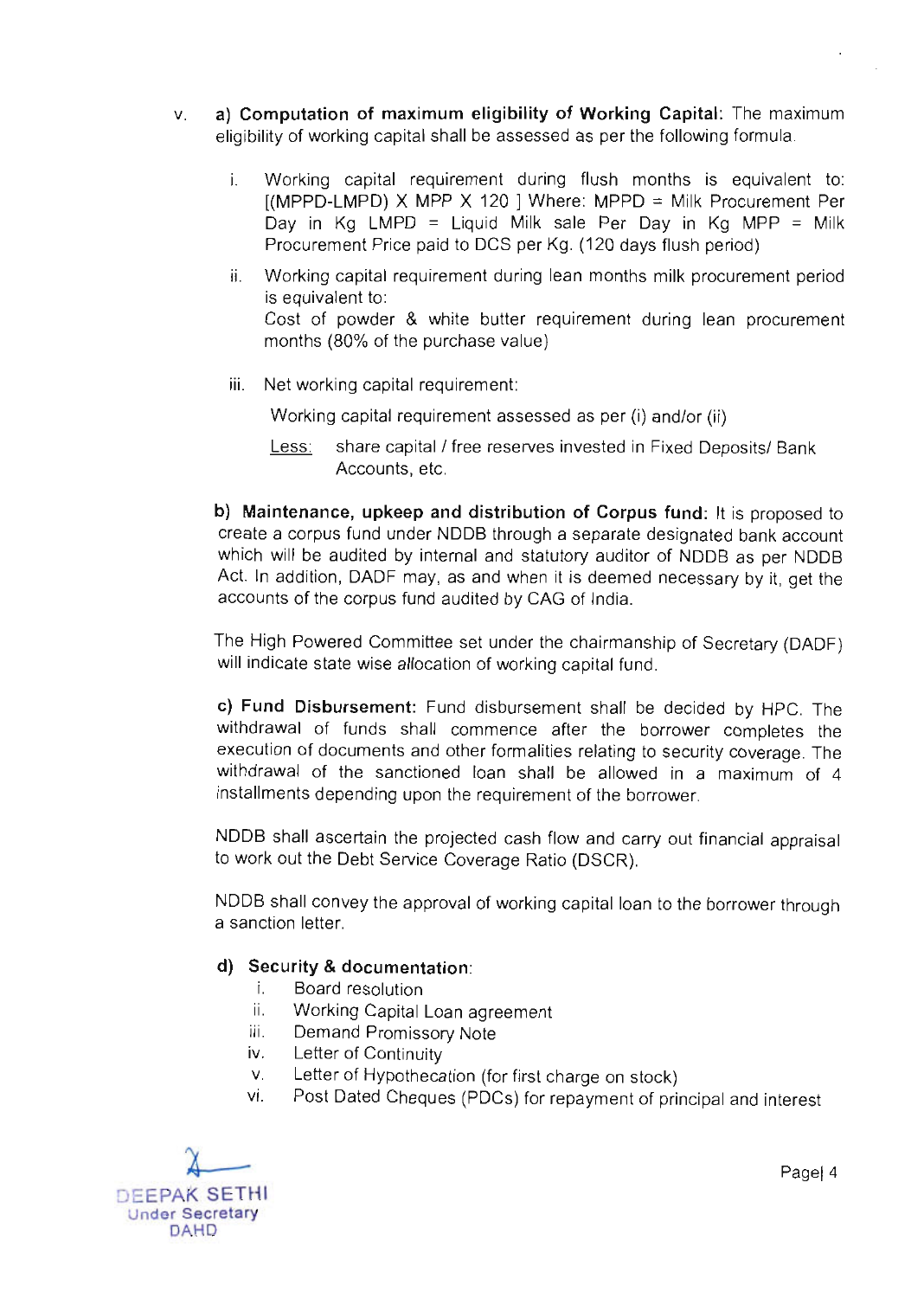- a) Computation of maximum eligibility of Working Capital: The maximum v. eligibility of working capital shall be assessed as per the following formula.
	- i. Working capital requirement during flush months is equivalent to:  $[(MPPD-LMPD) \times MPP \times 120]$  Where: MPPD = Milk Procurement Per Day in Kg LMPD = Liquid Milk sale Per Day in Kg MPP = Milk Procurement Price paid to DCS per Kg. (120 days flush period)
	- ii. Working capital requirement during lean months milk procurement period is equivalent to: Cost of powder & white butter requirement during lean procurement months (80% of the purchase value)
	- iii. Net working capital requirement:

Working capital requirement assessed as per (i) and/or (ii)

Less: share capital / free reserves invested in Fixed Deposits/ Bank Accounts, etc.

b) Maintenance, upkeep and distribution of Corpus fund: lt is proposed to create a corpus fund under NDDB through a separate designated bank account which will be audited by internal and statutory auditor of NDDB as per NDDB Act. ln addition, DADF may, as and when it is deemed necessary by it, get the accounts of the corpus fund audited by CAG of lndia.

The High Powered Committee set under the chairmanship of Secretary (DADF) will indicate state wise allocation of working capital fund.

c) Fund Disbursement: Fund disbursement shall be decided by HPC. The withdrawal of funds shall commence after the borrower completes the execution of documents and other formalities relating to security coverage. The withdrawal of the sanctioned loan shall be allowed in a maximum of 4 installments depending upon the requirement of the borrower.

NDDB shall ascertain the projected cash flow and carry out financial appraisal to work out the Debt Service Coverage Ratio (DSCR).

NDDB shall convey the approval of working capital loan to the borrower through a sanction letter.

## d) Security & documentation:

- i. Board resolution
- ii. Working Capital Loan agreement
- iii. Demand Promissory Note iv. Letter of Continuity
- 
- 
- v. Letter of Hypothecation (for first charge on stock) vi. Post Dated Cheques (PDCs) for repayment of principal and interest

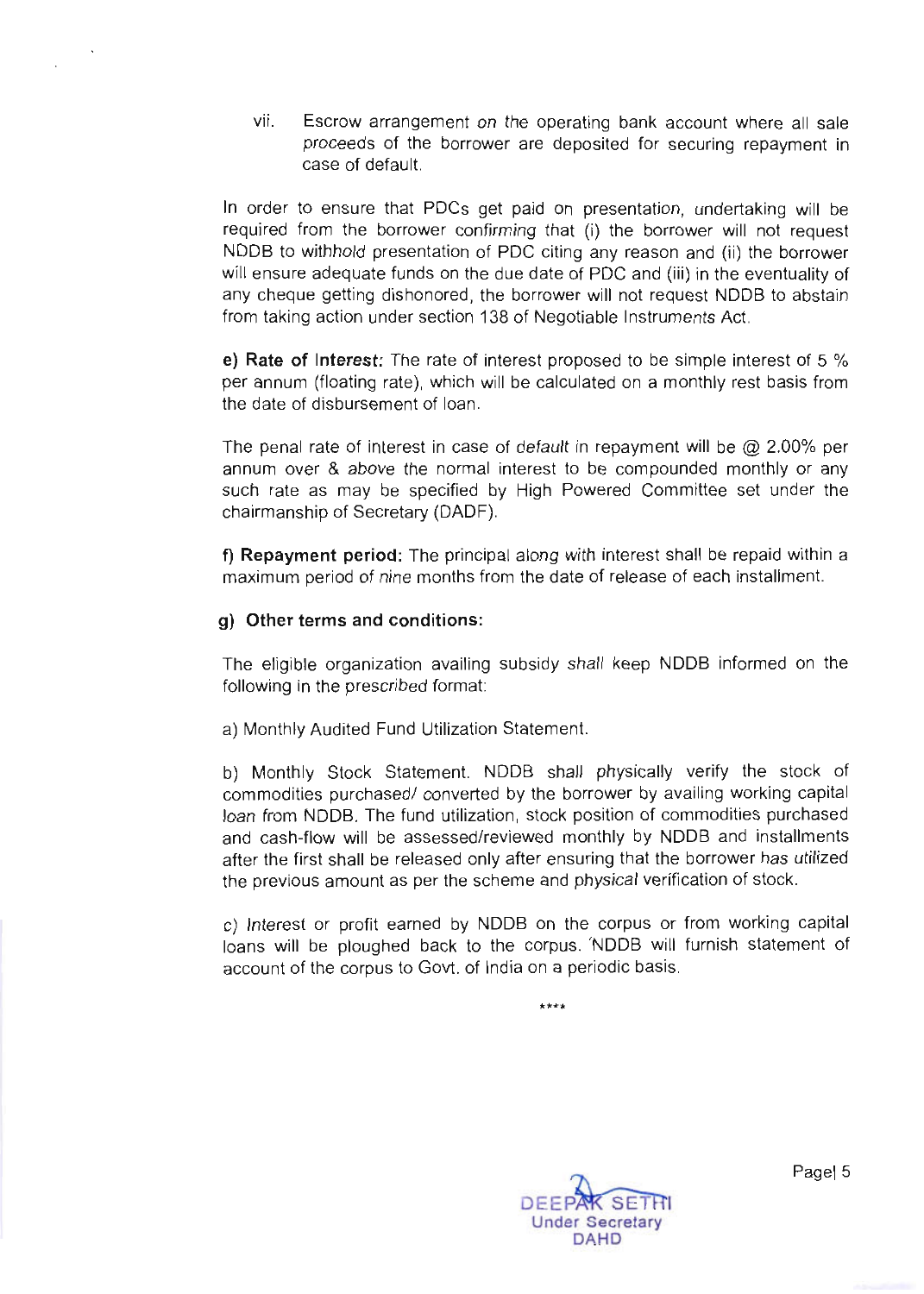vii. Escrow arrangement on the operating bank account where all sale proceeds of the borrower are deposited for securing repayment in case of default.

ln order to ensure that PDCs get paid on presentation, undertaking will be required from the borrower confirming that (i) the borrower will not request NDDB to withhold presentation of PDC citing any reason and (ii) the borrower will ensure adequate funds on the due date of PDC and (iii) in the eventuality of any cheque getting dishonored, the borrower will not request NDDB to abstain from taking action under section 138 of Negotiable lnstruments Act.

e) Rate of lnterest: The rate of interest proposed to be simple interest of 5 % per annum (floating rate), which will be calculated on a monthly rest basis from the date of disbursement of loan.

The penal rate of interest in case of default in repayment will be  $\omega$  2.00% per annum over & above the normal interest to be compounded monthly or any such rate as may be specified by High Powered Committee set under the chairmanship of Secretary (DADF).

f) Repayment period: The principal along with interest shall be repaid within a maximum period of nine months from the date of release of each installment.

### g) Other terms and conditions:

The eligible organization availing subsidy shall keep NDDB informed on the following in the prescribed format:

a) Monthly Audited Fund Utilization Statement.

b) Monthly Stock Statement. NDDB shall physically verify the stock of commodities purchased/ converted by the borrower by availing working capital loan from NDDB. The fund utilization, stock position of commodities purchased and cash-flow will be assessed/reviewed monthly by NDDB and installments after the first shall be released only after ensuring that the borrower has utilized the previous amount as per the scheme and physical verification of stock'

c) lnterest or profit earned by NDDB on the corpus or from working capital loans will be ploughed back to the corpus. NDDB will furnish statement of account of the corpus to Govt. of India on a periodic basis.

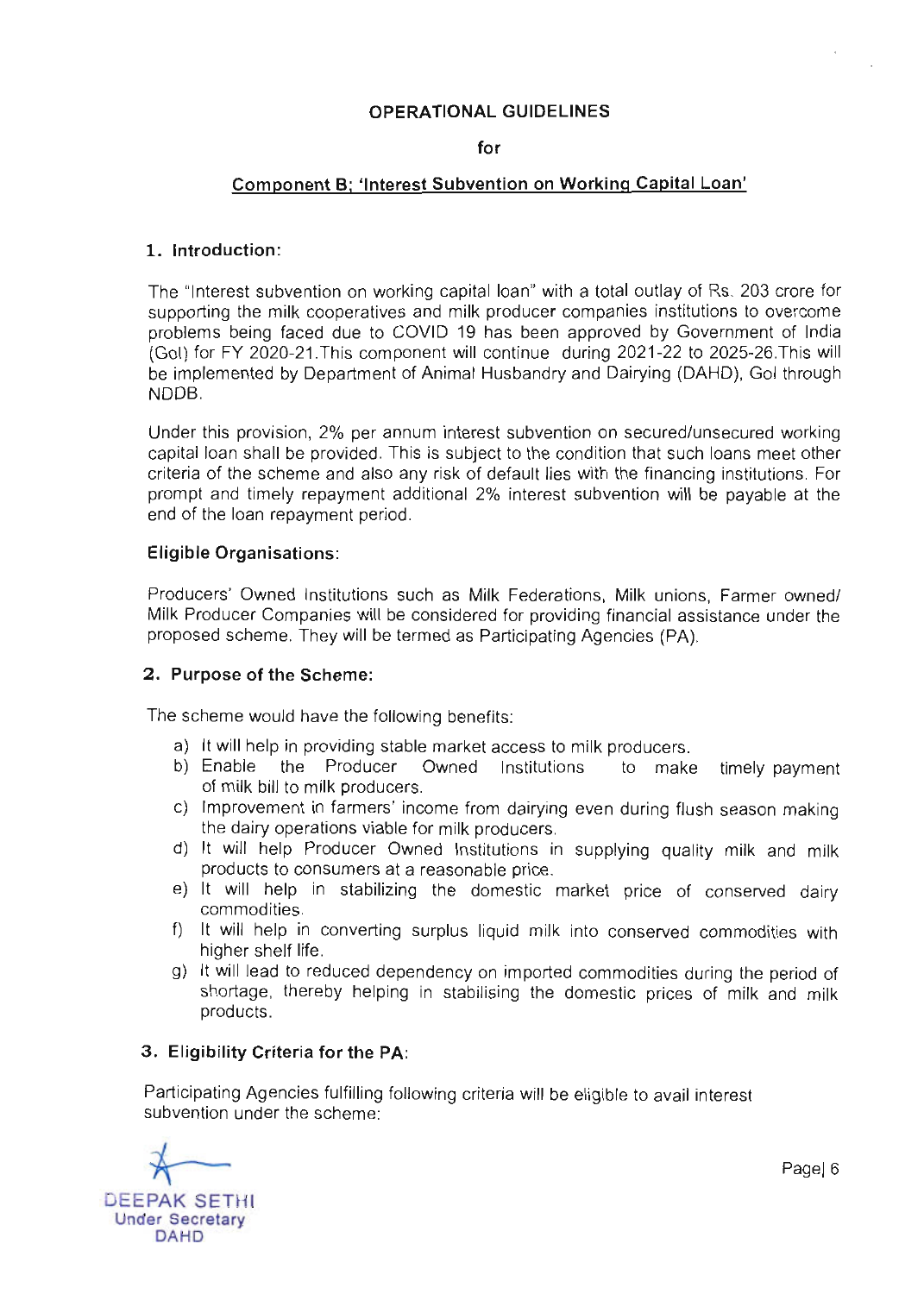### OPERATIONAL GUIDELINES

#### for

#### Component B: 'lnterest Subvention on Workinq Capital Loan'

#### 1. lntroduction:

The "lnterest subvention on working capital loan" with a total outlay of Rs. 203 crore for supporting the milk cooperatives and milk producer companies institutions to overcome problems being faced due to COVID 19 has been approved by Government of lndia (Gol) for FY 2020-21.This component will continue during 2021-22 to 2025-26.This will be implemented by Department of Animal Husbandry and Dairying (DAHD), Gol through NDDB.

Under this provision, 2% per annum interest subvention on secured/unsecured working capital loan shall be provided. This is subject to the condition that such loans meet other criteria of the scheme and also any risk of default lies with the financing institutions. For prompt and timely repayment additional 2% interest subvention will be payable at the end of the loan repayment period.

#### Eligible Organisations:

Producers' Owned lnstitutions such as Milk Federations, Milk unions, Farmer owned/ Milk Producer Companies will be considered for providing financial assistance under the proposed scheme. They will be termed as Participating Agencies (pA).

#### 2. Purpose of the Scheme:

The scheme would have the following benefits:

- a) It will help in providing stable market access to milk producers.
- a) it will holy if providing stable market access to milk producers.<br>b) Enable the Producer Owned Institutions to make timely payment of milk bill to milk producers.
- c) Improvement in farmers' income from dairying even during flush season making<br>the dairy operations viable for milk producers.
- d) It will help Producer Owned Institutions in supplying quality milk and milk products to consumers at a reasonable price.
- e) It will help in stabilizing the domestic market price of conserved dairy<br>commodities.
- f) It will help in converting surplus liquid milk into conserved commodities with higher shelf life.
- g) It will lead to reduced dependency on imported commodities during the period of shortage, thereby helping in stabilising the domestic prices of milk and milk products.

#### 3. Eligibility Criteria for the pA:

Participating Agencies fulfilling following criteria will be eligible to avail interest subvention under the scheme:

**DEEPAK SETHI** Under Secretary DAHD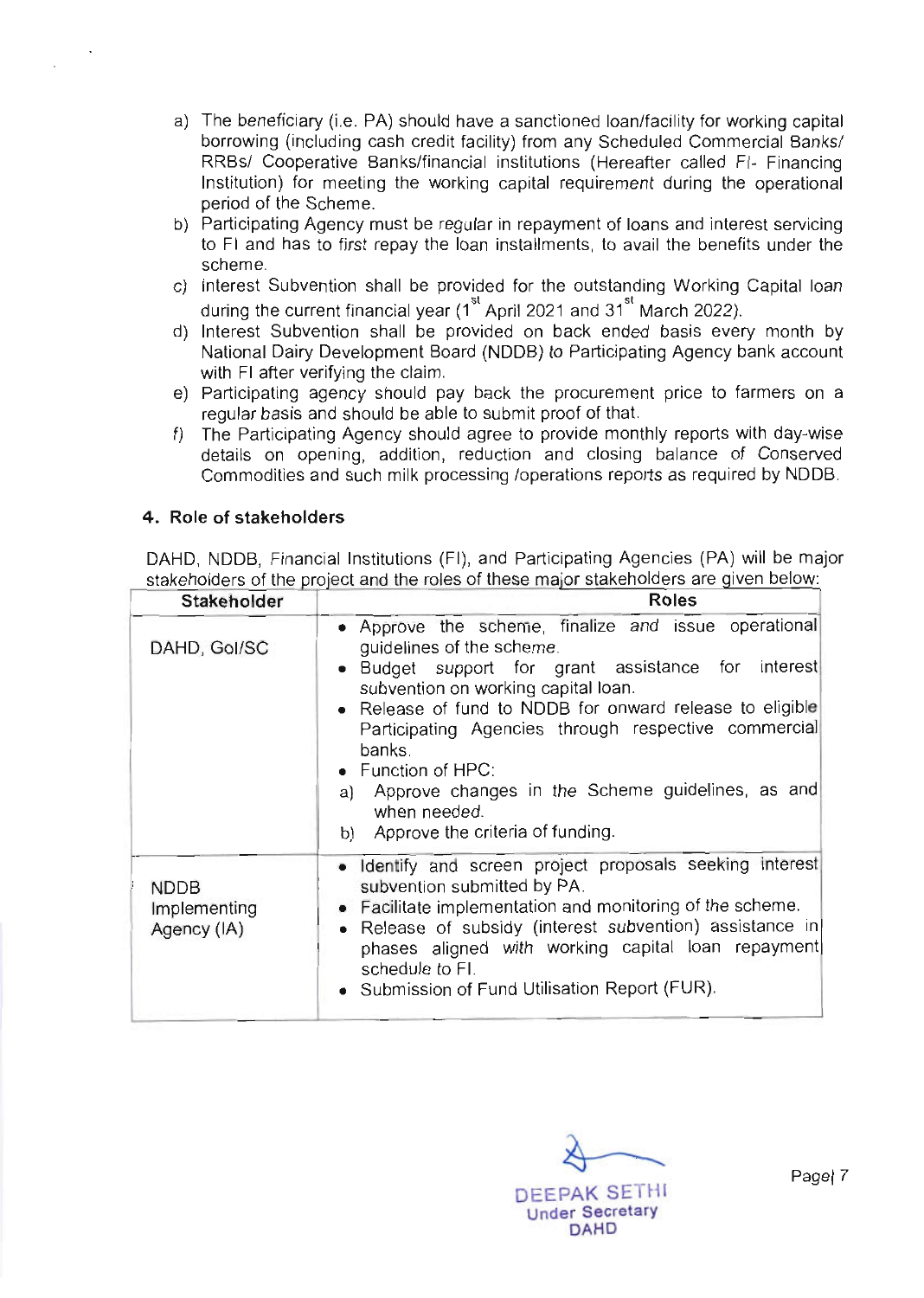- a) The beneficiary (i.e. PA) should have a sanctioned loan/facility for working capital borrowing (including cash credit facility) from any Scheduled Commercial Banks/ RRBs/ Cooperative Banks/financial institutions (Hereafter called Fl- Financing lnstitution) for meeting the working capital requirement during the operational period of the Scheme.
- b) Participating Agency must be regular in repayment of loans and interest servicing to Fl and has to first repay the loan installments, to avail the benefits under the scheme.
- c) lnterest Subvention shall be provided for the outstanding Working Capital loan during the current financial year  $(1^{\text{st}}$  April 2021 and 31<sup>st</sup> March 2022).
- d) lnterest Subvention shall be provided on back ended basis every month by National Dairy Development Board (NDDB) to Participating Agency bank account with Fl after verifying the claim.
- e) Participating agency should pay back the procurement price to farmers on a regular basis and should be able to submit proof of that.
- f) The Participating Agency should agree to provide monthly reports with day-wise details on opening, addition, reduction and closing balance of Conserved Commodities and such milk processing /operations reports as required by NDDB.

### 4. Role of stakeholders

DAHD, NDDB, Financial lnstitutions (Fl), and Participating Agencies (PA) will be major stakeholders of the project and the roles of these major stakeholders are given below:

| Stakeholder                                | <b>Roles</b>                                                                                                                                                                                                                                                                                                                                                                                                                                                   |  |  |  |
|--------------------------------------------|----------------------------------------------------------------------------------------------------------------------------------------------------------------------------------------------------------------------------------------------------------------------------------------------------------------------------------------------------------------------------------------------------------------------------------------------------------------|--|--|--|
| DAHD, Gol/SC                               | • Approve the scheme, finalize and issue operational<br>guidelines of the scheme.<br>• Budget support for grant assistance for interest<br>subvention on working capital loan.<br>• Release of fund to NDDB for onward release to eligible<br>Participating Agencies through respective commercial<br>banks.<br>$\bullet$ Function of HPC:<br>Approve changes in the Scheme guidelines, as and<br>a)<br>when needed.<br>Approve the criteria of funding.<br>b) |  |  |  |
| <b>NDDB</b><br>Implementing<br>Agency (IA) | · Identify and screen project proposals seeking interest<br>subvention submitted by PA.<br>• Facilitate implementation and monitoring of the scheme.<br>. Release of subsidy (interest subvention) assistance in<br>phases aligned with working capital loan repayment<br>schedule to FI.<br>• Submission of Fund Utilisation Report (FUR).                                                                                                                    |  |  |  |

DEEPAK SETHI Under Secretary DAHD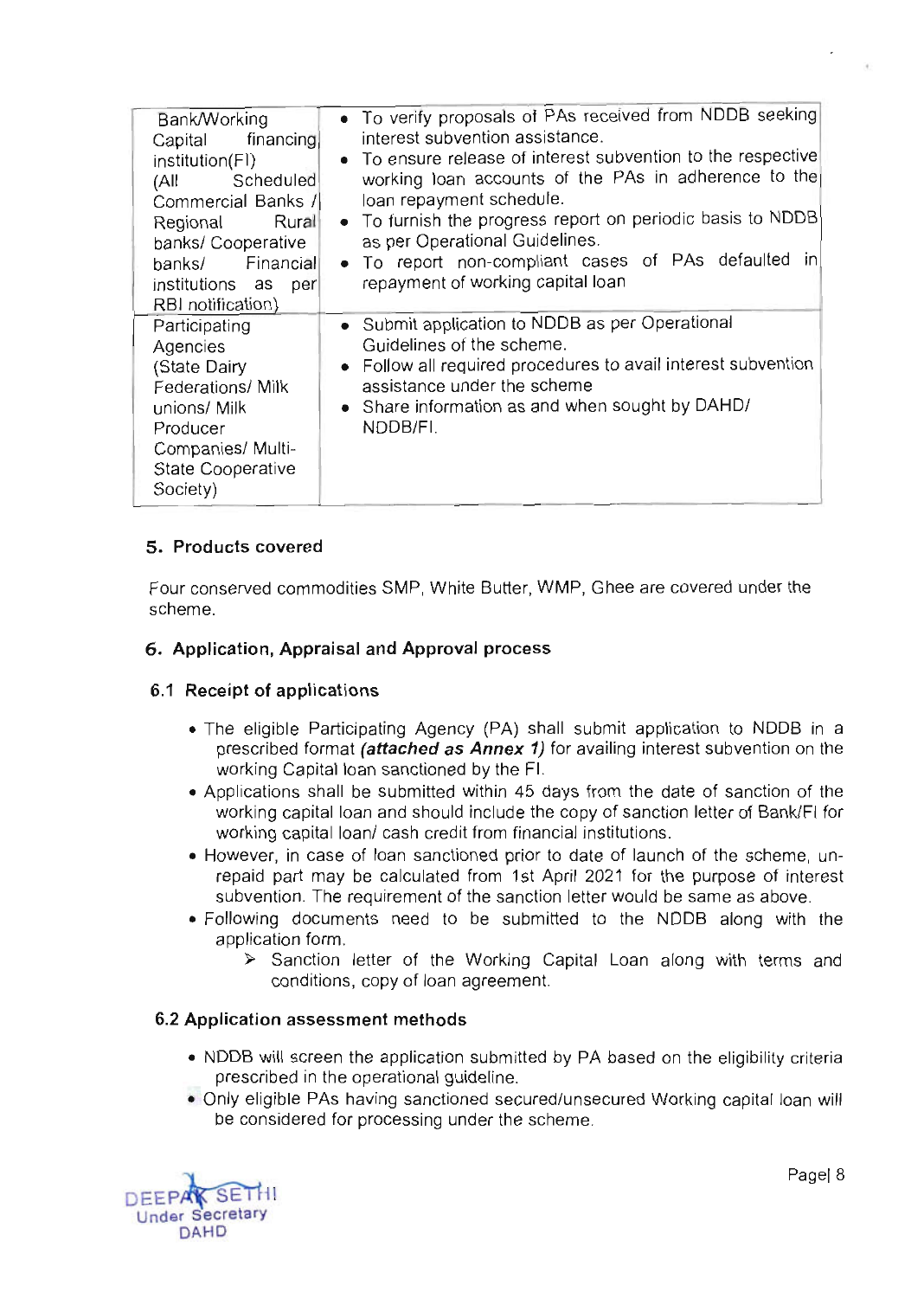| Bank/Working<br>Capital financing<br>institution(FI)<br>Scheduled<br>(All<br>Commercial Banks /<br>Regional Rural<br>banks/ Cooperative<br>banks/ Financial<br>institutions as<br>per<br>RBI notification) | • To verify proposals of PAs received from NDDB seeking<br>interest subvention assistance.<br>• To ensure release of interest subvention to the respective<br>working loan accounts of the PAs in adherence to the<br>loan repayment schedule.<br>• To furnish the progress report on periodic basis to NDDB<br>as per Operational Guidelines.<br>• To report non-compliant cases of PAs defaulted in<br>repayment of working capital loan |
|------------------------------------------------------------------------------------------------------------------------------------------------------------------------------------------------------------|--------------------------------------------------------------------------------------------------------------------------------------------------------------------------------------------------------------------------------------------------------------------------------------------------------------------------------------------------------------------------------------------------------------------------------------------|
| Participating<br>Agencies<br>(State Dairy<br>Federations/ Milk<br>unions/ Milk<br>Producer<br>Companies/ Multi-<br><b>State Cooperative</b><br>Society)                                                    | • Submit application to NDDB as per Operational<br>Guidelines of the scheme.<br>• Follow all required procedures to avail interest subvention<br>assistance under the scheme<br>• Share information as and when sought by DAHD/<br>NDDB/FI.                                                                                                                                                                                                |

## 5. Products covered

Four conserved commodities SMP, White Butter, WMp, Ghee are covered under the scheme.

## 6. Application, Appraisal and Approval process

## 6.1 Receipt of applications

- The eligible Participating Agency (PA) shall submit application to NDDB in a prescribed format *(attached as Annex 1)* for availing interest subvention on the working Capital loan sanctioned by the Fl.
- . Applications shall be submitted within 45 days from the date of sanction of the working capital loan and should include the copy of sanction letter of Bank/FI for working capital loan/ cash credit from financial institutions.
- o However, in case of loan sanctioned prior to date of launch of the scheme, un- repaid part may be calculated from 1st April 2o2l for the purpose of interest subvention. The requirement of the sanction letter would be same as above.
- Following documents need to be submitted to the NDDB along with the application form.<br>
Sanction letter of the Working Capital Loan along with terms and
	- conditions, copy of loan agreement.

## 6.2 Application assessment methods

- o NDDB will screen the application submitted by pA based on the eligibility criteria prescribed in the operational guideline.
- Only eligible PAs having sanctioned secured/unsecured Working capital loan will be considered for processing under the scheme.

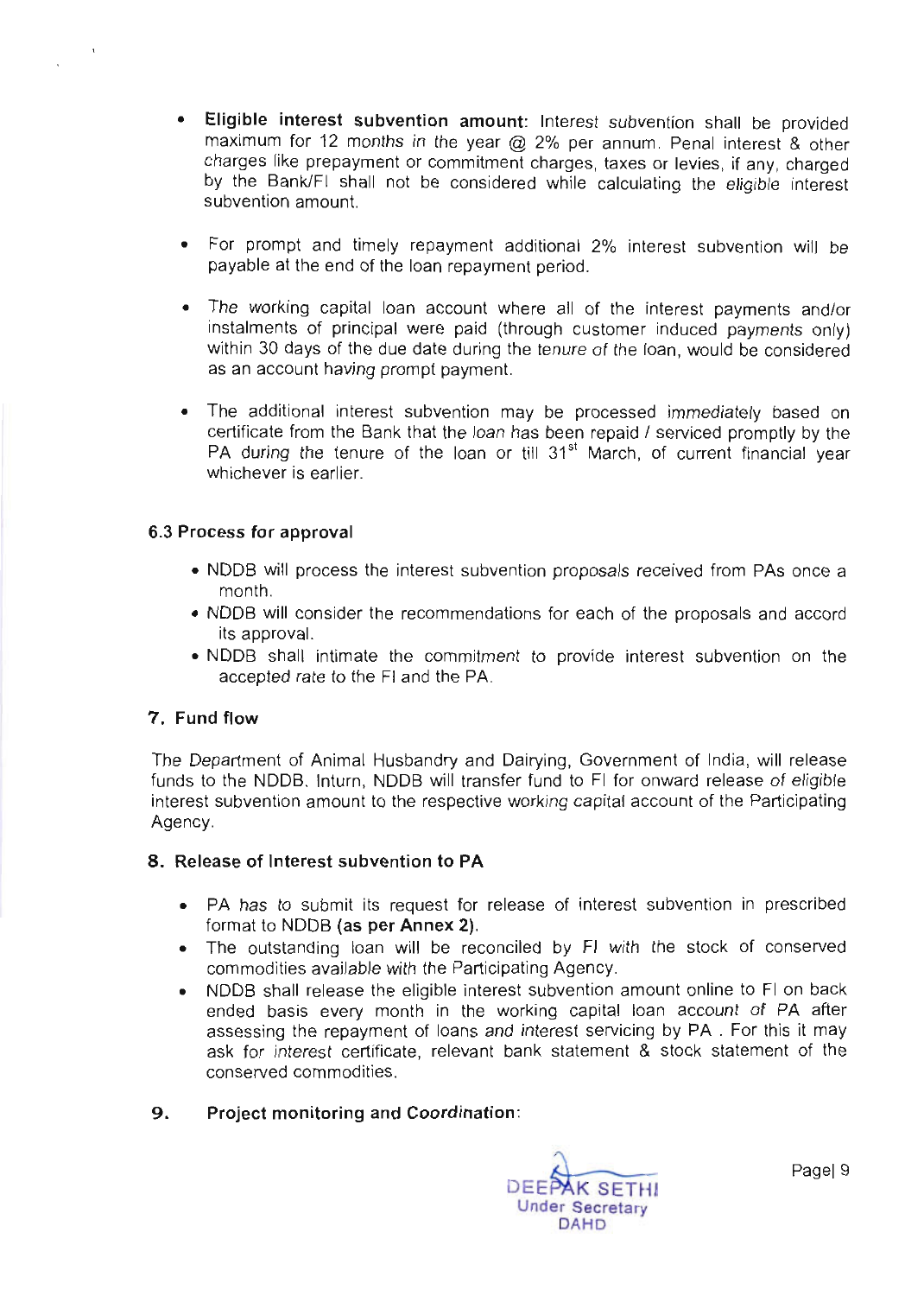- Eligible interest subvention amount: lnterest subvention shall be provided  $\bullet$ maximum for 12 months in the year @ 2% per annum. Penal interest & other charges like prepayment or commitment charges, taxes or levies, if any, charged by the Bank/FI shall not be considered while calculating the eligible interest subvention amount.
- For prompt and timely repayment additional 2% interest subvention will be payable at the end of the loan repayment period.
- The working capital loan account where all of the interest payments and/or instalments of principal were paid (through customer induced payments only) within 30 days of the due date during the tenure of the loan, would be considered as an account having prompt payment.
- The additional interest subvention may be processed immediately based on certificate from the Bank that the loan has been repaid / serviced promptly by the PA during the tenure of the loan or till  $31<sup>st</sup>$  March, of current financial year whichever is earlier.

### 6.3 Process for approval

- . NDDB will process the interest subvention proposals received from PAs once a month.
- NDDB will consider the recommendations for each of the proposals and accord its approval.
- o NDDB shall intimate the commitment to provide interest subvention on the accepted rate to the Fl and the PA.

#### 7. Fund flow

The Department of Animal Husbandry and Dairying, Government of lndia, will release funds to the NDDB. lnturn, NDDB wili transfer fund to Fl for onward release of eligible interest subvention amount to the respective working capital account of the Participating Agency.

## 8. Release of lnterest subvention to PA

- PA has to submit its request for release of interest subvention in prescribed format to NDDB (as per Annex 2).
- The outstanding loan will be reconciled by FI with the stock of conserved commodities available with the Participating Agency.
- NDDB shall release the eligible interest subvention amount online to FI on back ended basis every month in the working capital loan account of PA after assessing the repayment of loans and interest servicing by PA. For this it may ask for interest certificate, relevant bank statement & stock statement of the conserved commodities.

## g. Project monitoring and Coordination:

DEEPAK SETHI Under Secretary DAHD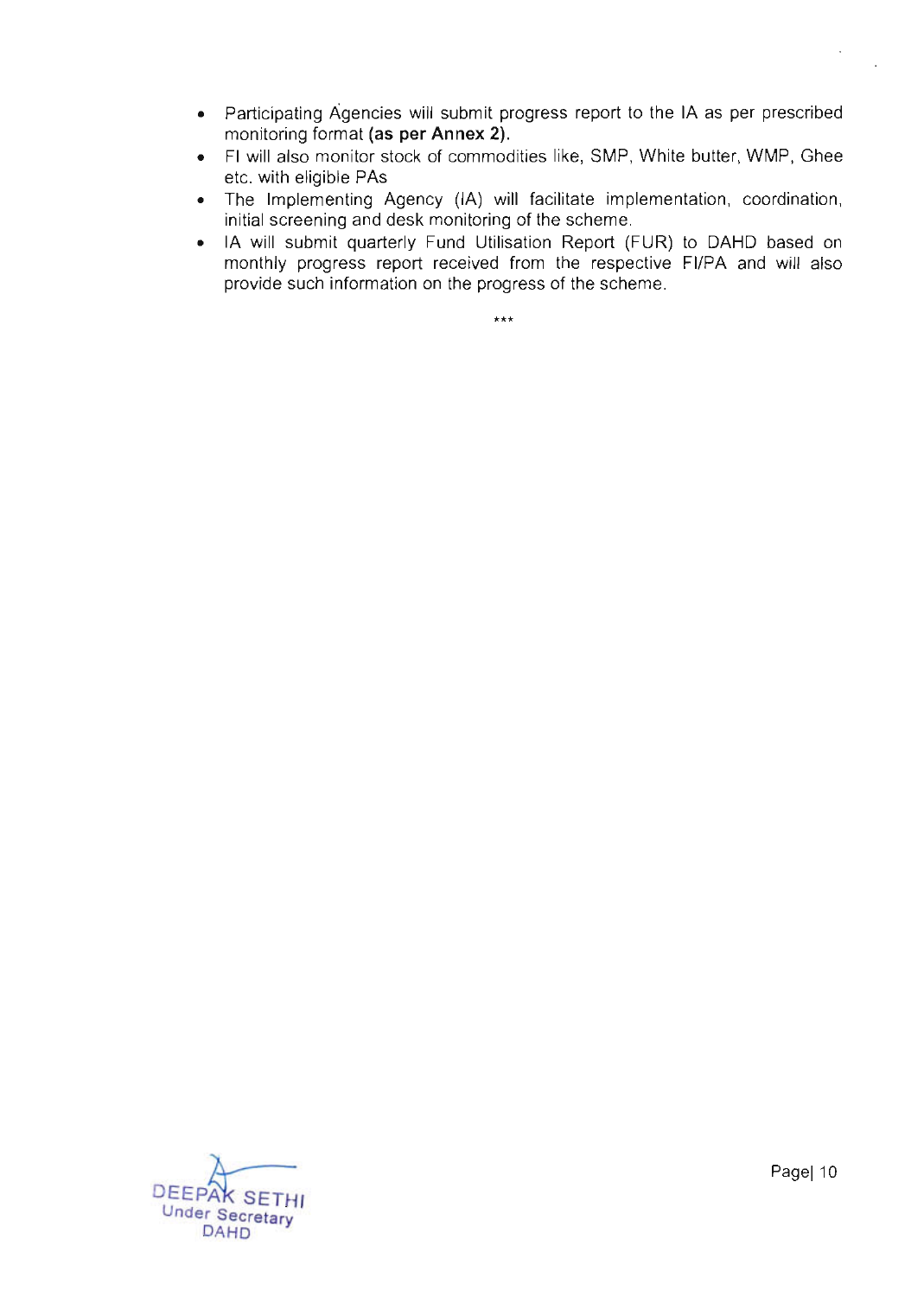- Participating Agencies will submit progress report to the IA as per prescribed monitoring format (as per Annex 2).
- Fl will also monitor stock of commodities like, SMP, White butter, WMP, Ghee  $\bullet$ etc. with eligible PAs
- The lmplementing Agency (lA) will facilitate implementation, coordination,  $\bullet$ initial screening and desk monitoring of the scheme.
- lA will submit quarterly Fund Utilisation Report (FUR) to DAHD based on  $\bullet$ monthly progress report received from the respective FI/PA and will also provide such information on the progress of the scheme.

 $+ + +$ 

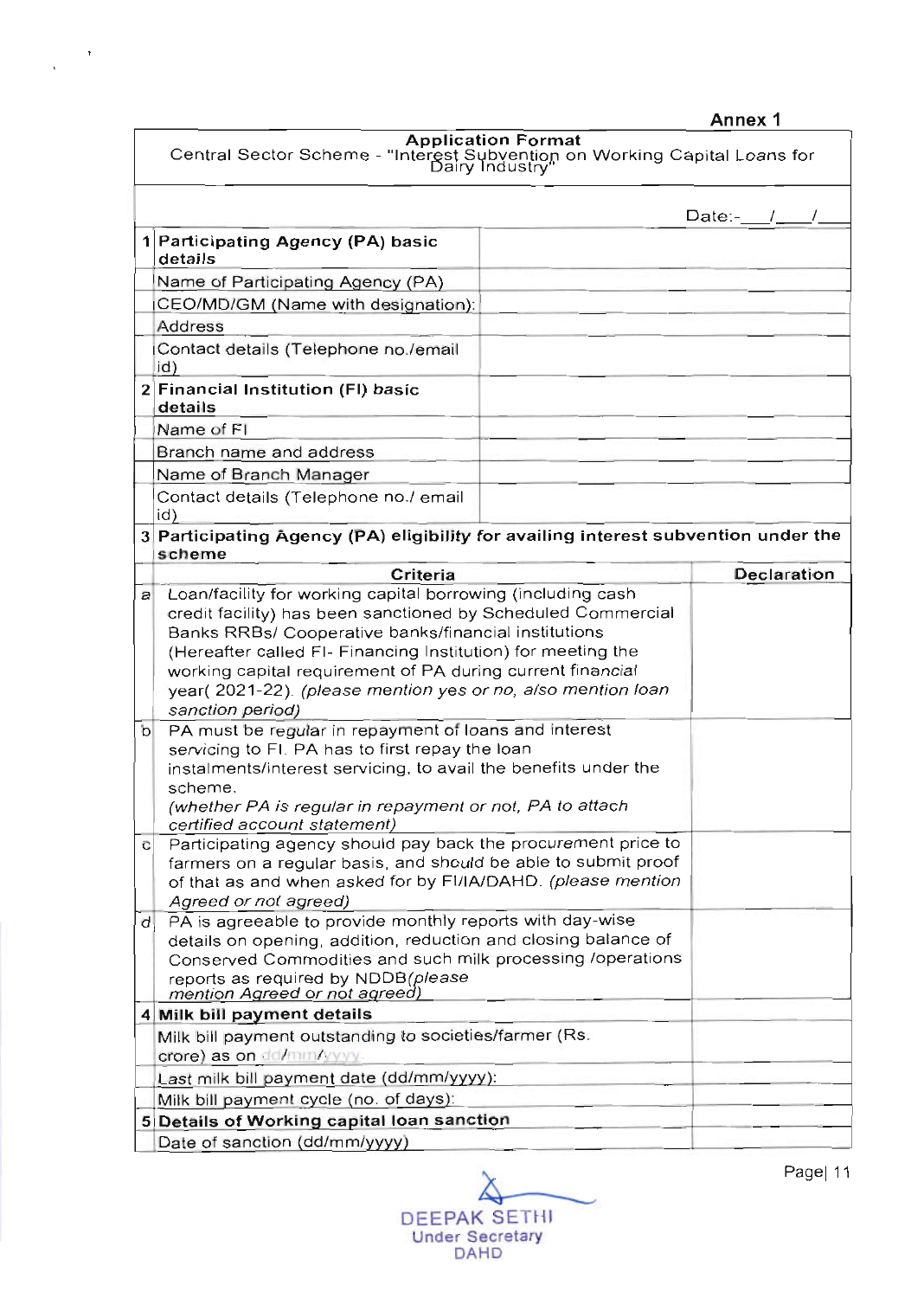### **Application Format**<br>Central Sector Scheme - "Interest Subvention on Working Capital Loans for<br>Dairy Industry"  $Date:$  $\frac{1}{2}$   $\frac{1}{2}$ 1 Participating Agency (PA) basic details Name of Participating Agency (PA) CEO/MD/GM (Name with designation): Address Contact details (Telephone no./email id <sup>2</sup> Financial lnstitution (Fl) basic details Name of Fl Branch name and address Name of Branch Manager Contact details (Telephone no./ email id Participating Agency (PA) eligibility for availing interest subvention under the 3 scheme Criteria Declaration a Loan/facility for working capital borrowing (including cash credit facility) has been sanctioned by Scheduled Commercial Banks RRBs/ Cooperative banks/financial institutions (Hereafter called Fl- Financing lnstitution) for meeting the working capital requirement of PA during current financial year( 2021-22). (please mention yes or no, also mention loan sanction period, b PA must be regular in repayment of loans and interest servicing to Fl. PA has to first repay the loan instalments/interest servicing, to avail the benefits under the scheme. (whether PA is regular in repayment or not, PA to attach certified account statement) c Participating agency should pay back the procure ment price to farmers on a regular basis, and should be able to submit proof of that as and when asked for by FI/IA/DAHD. (please mention Agreed or not agreed) d PA is agreeable to provide monthly reports with day-wise details on opening, addition. reduction and closing balance of Conserved Commodities and such milk processing /operations reports as required by NDDB*(please*<br>mention Agreed or not agreed) reports as required by NDDB(please 4 Milk bill payment details Milk bill payment outstanding to societies/farmer (Rs crore) as on dd/mm/yyyy Last milk bill payment date (dd/mm/yyyy): Milk bill payment cycle (no. of days): 5 Details of Working capital loan sanction Date of sanction (dd/mm/yyyy)



Pagel 11

An nex 1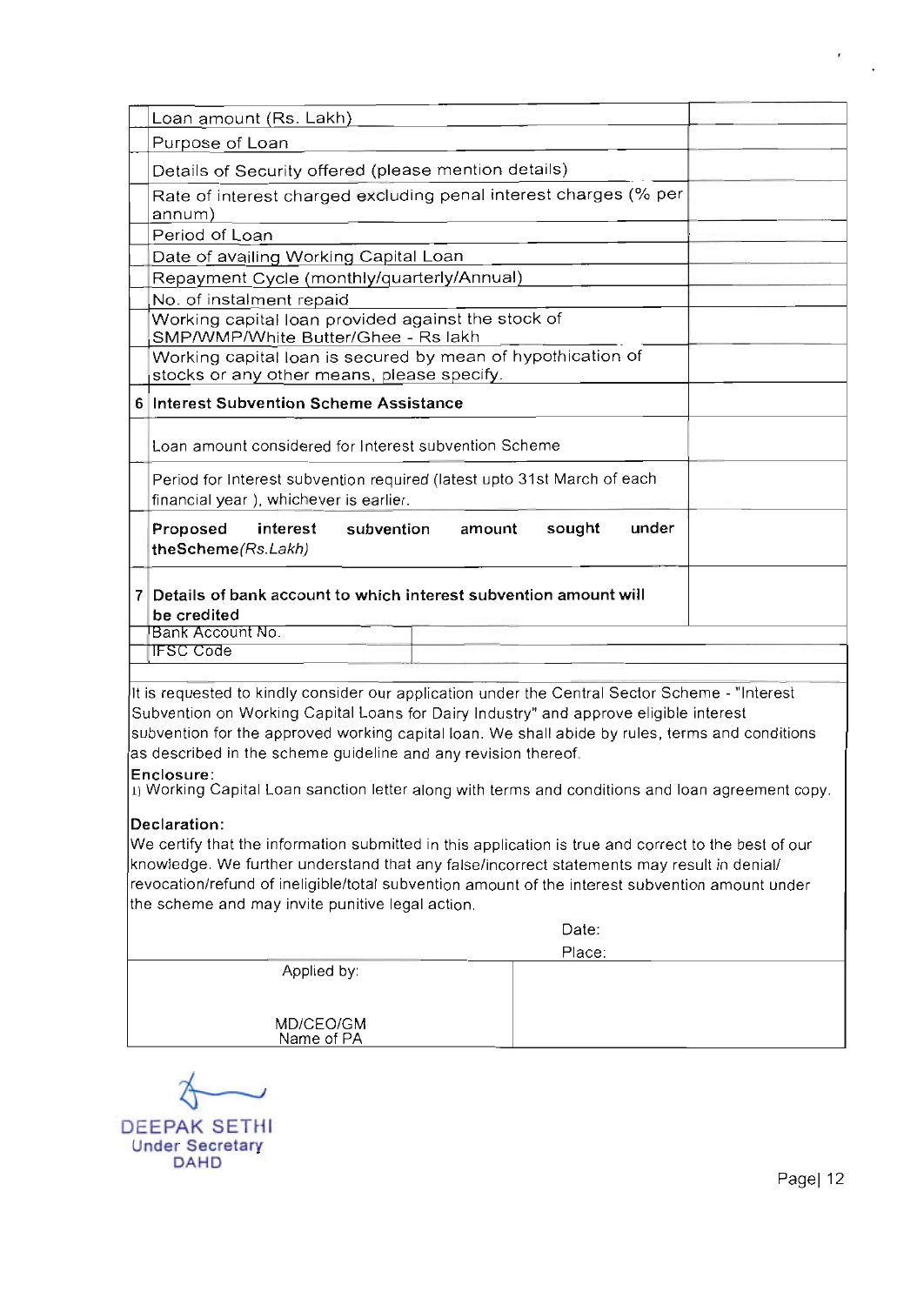| Loan amount (Rs. Lakh)                                                                                                                                                                                                                                                                                                                                                                                                                                                         |                                                                         |  |  |  |
|--------------------------------------------------------------------------------------------------------------------------------------------------------------------------------------------------------------------------------------------------------------------------------------------------------------------------------------------------------------------------------------------------------------------------------------------------------------------------------|-------------------------------------------------------------------------|--|--|--|
| Purpose of Loan                                                                                                                                                                                                                                                                                                                                                                                                                                                                |                                                                         |  |  |  |
| Details of Security offered (please mention details)                                                                                                                                                                                                                                                                                                                                                                                                                           |                                                                         |  |  |  |
| Rate of interest charged excluding penal interest charges (% per<br>annum)                                                                                                                                                                                                                                                                                                                                                                                                     |                                                                         |  |  |  |
| Period of Loan                                                                                                                                                                                                                                                                                                                                                                                                                                                                 |                                                                         |  |  |  |
| Date of availing Working Capital Loan                                                                                                                                                                                                                                                                                                                                                                                                                                          |                                                                         |  |  |  |
| Repayment Cycle (monthly/quarterly/Annual)                                                                                                                                                                                                                                                                                                                                                                                                                                     |                                                                         |  |  |  |
| No. of instalment repaid                                                                                                                                                                                                                                                                                                                                                                                                                                                       |                                                                         |  |  |  |
| Working capital loan provided against the stock of<br>SMP/WMP/White Butter/Ghee - Rs lakh                                                                                                                                                                                                                                                                                                                                                                                      |                                                                         |  |  |  |
| Working capital loan is secured by mean of hypothication of<br>stocks or any other means, please specify.                                                                                                                                                                                                                                                                                                                                                                      |                                                                         |  |  |  |
| 6 Interest Subvention Scheme Assistance                                                                                                                                                                                                                                                                                                                                                                                                                                        |                                                                         |  |  |  |
| Loan amount considered for Interest subvention Scheme                                                                                                                                                                                                                                                                                                                                                                                                                          |                                                                         |  |  |  |
| financial year), whichever is earlier.                                                                                                                                                                                                                                                                                                                                                                                                                                         | Period for Interest subvention required (latest upto 31st March of each |  |  |  |
| under<br>sought<br>Proposed<br>interest<br>subvention<br>amount<br>theScheme(Rs.Lakh)                                                                                                                                                                                                                                                                                                                                                                                          |                                                                         |  |  |  |
| 7 Details of bank account to which interest subvention amount will<br>be credited                                                                                                                                                                                                                                                                                                                                                                                              |                                                                         |  |  |  |
| Bank Account No.                                                                                                                                                                                                                                                                                                                                                                                                                                                               |                                                                         |  |  |  |
| <b>IFSC Code</b>                                                                                                                                                                                                                                                                                                                                                                                                                                                               |                                                                         |  |  |  |
| It is requested to kindly consider our application under the Central Sector Scheme - "Interest<br>Subvention on Working Capital Loans for Dairy Industry" and approve eligible interest<br>subvention for the approved working capital loan. We shall abide by rules, terms and conditions<br>as described in the scheme guideline and any revision thereof.<br>Enclosure:<br>1) Working Capital Loan sanction letter along with terms and conditions and loan agreement copy. |                                                                         |  |  |  |
| Declaration:<br>We certify that the information submitted in this application is true and correct to the best of our<br>knowledge. We further understand that any false/incorrect statements may result in denial/<br>revocation/refund of ineligible/total subvention amount of the interest subvention amount under<br>the scheme and may invite punitive legal action.                                                                                                      |                                                                         |  |  |  |
| Date:                                                                                                                                                                                                                                                                                                                                                                                                                                                                          |                                                                         |  |  |  |
| Place:                                                                                                                                                                                                                                                                                                                                                                                                                                                                         |                                                                         |  |  |  |
| Applied by:                                                                                                                                                                                                                                                                                                                                                                                                                                                                    |                                                                         |  |  |  |
|                                                                                                                                                                                                                                                                                                                                                                                                                                                                                |                                                                         |  |  |  |
| MD/CEO/GM<br>Name of PA                                                                                                                                                                                                                                                                                                                                                                                                                                                        |                                                                         |  |  |  |



 $\frac{1}{2} \left( \frac{1}{2} \right)$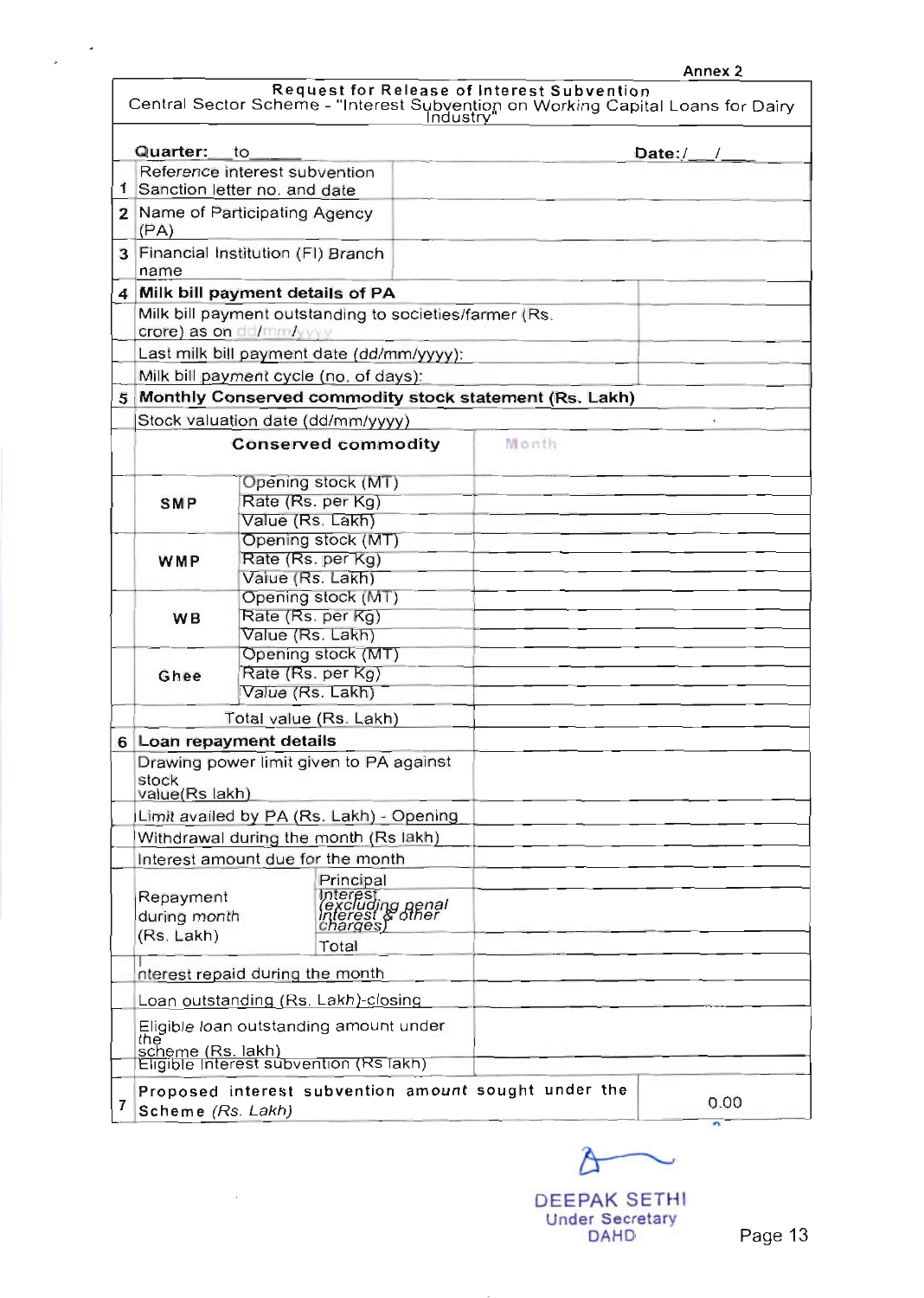| Ann<br>٦е. |  |
|------------|--|
|------------|--|

|                                                                                   |                                                                                                  |                                           |                                                              |  | <b>Request for Release of Interest Subvention</b><br>Central Sector Scheme - "Interest Subvention on Working Capital Loans for Dairy |            |
|-----------------------------------------------------------------------------------|--------------------------------------------------------------------------------------------------|-------------------------------------------|--------------------------------------------------------------|--|--------------------------------------------------------------------------------------------------------------------------------------|------------|
|                                                                                   | Quarter: to                                                                                      |                                           |                                                              |  |                                                                                                                                      | Date:/ $/$ |
|                                                                                   | Reference interest subvention<br>Sanction letter no. and date                                    |                                           |                                                              |  |                                                                                                                                      |            |
|                                                                                   | (PA)                                                                                             | 2 Name of Participating Agency            |                                                              |  |                                                                                                                                      |            |
| 3                                                                                 | name                                                                                             | Financial Institution (FI) Branch         |                                                              |  |                                                                                                                                      |            |
|                                                                                   | 4 Milk bill payment details of PA                                                                |                                           |                                                              |  |                                                                                                                                      |            |
| Milk bill payment outstanding to societies/farmer (Rs.<br>crore) as on dd/mm/yyyy |                                                                                                  |                                           |                                                              |  |                                                                                                                                      |            |
|                                                                                   |                                                                                                  | Last milk bill payment date (dd/mm/yyyy): |                                                              |  |                                                                                                                                      |            |
|                                                                                   |                                                                                                  |                                           | Milk bill payment cycle (no. of days):                       |  |                                                                                                                                      |            |
| 5                                                                                 |                                                                                                  |                                           |                                                              |  | Monthly Conserved commodity stock statement (Rs. Lakh)                                                                               |            |
|                                                                                   |                                                                                                  |                                           | Stock valuation date (dd/mm/yyyy)                            |  |                                                                                                                                      |            |
|                                                                                   |                                                                                                  |                                           | <b>Conserved commodity</b>                                   |  | Month                                                                                                                                |            |
|                                                                                   | <b>SMP</b>                                                                                       | Rate (Rs. per Kg)                         | Opening stock (MT)                                           |  |                                                                                                                                      |            |
|                                                                                   |                                                                                                  | Value (Rs. Lakh)                          |                                                              |  |                                                                                                                                      |            |
|                                                                                   |                                                                                                  |                                           | Opening stock (MT)                                           |  |                                                                                                                                      |            |
|                                                                                   | WMP                                                                                              | Rate (Rs. per Kg)                         |                                                              |  |                                                                                                                                      |            |
|                                                                                   |                                                                                                  | Value (Rs. Lakh)                          |                                                              |  |                                                                                                                                      |            |
|                                                                                   |                                                                                                  |                                           | Opening stock (MT)                                           |  |                                                                                                                                      |            |
|                                                                                   | <b>WB</b>                                                                                        | Rate (Rs. per Kg)                         |                                                              |  |                                                                                                                                      |            |
|                                                                                   |                                                                                                  | Value (Rs. Lakh)                          |                                                              |  |                                                                                                                                      |            |
|                                                                                   | Ghee                                                                                             |                                           | Opening stock (MT)                                           |  |                                                                                                                                      |            |
|                                                                                   |                                                                                                  |                                           | Rate (Rs. per Kg)                                            |  |                                                                                                                                      |            |
|                                                                                   | Value (Rs. Lakh)                                                                                 |                                           |                                                              |  |                                                                                                                                      |            |
|                                                                                   | Total value (Rs. Lakh)                                                                           |                                           |                                                              |  |                                                                                                                                      |            |
|                                                                                   | 6 Loan repayment details                                                                         |                                           |                                                              |  |                                                                                                                                      |            |
|                                                                                   | Drawing power limit given to PA against<br>stock<br>value(Rs lakh)                               |                                           |                                                              |  |                                                                                                                                      |            |
|                                                                                   |                                                                                                  |                                           | Limit availed by PA (Rs. Lakh) - Opening                     |  |                                                                                                                                      |            |
|                                                                                   | Withdrawal during the month (Rs lakh)                                                            |                                           |                                                              |  |                                                                                                                                      |            |
|                                                                                   |                                                                                                  |                                           | Interest amount due for the month                            |  |                                                                                                                                      |            |
|                                                                                   | Principal<br>Repayment<br>during month<br>(Rs. Lakh)<br>Total<br>nterest repaid during the month |                                           | interest<br>(excluding penal<br>interest & other<br>charges) |  |                                                                                                                                      |            |
|                                                                                   |                                                                                                  |                                           |                                                              |  |                                                                                                                                      |            |
|                                                                                   |                                                                                                  |                                           | Loan outstanding (Rs. Lakh)-closing                          |  |                                                                                                                                      |            |
|                                                                                   |                                                                                                  |                                           | Eligible loan outstanding amount under                       |  |                                                                                                                                      |            |
|                                                                                   | the<br>scheme (Rs. lakh)<br>Eligible Interest subvention (Rs lakh)                               |                                           |                                                              |  |                                                                                                                                      |            |
| 7                                                                                 | Scheme (Rs. Lakh)                                                                                |                                           |                                                              |  | Proposed interest subvention amount sought under the                                                                                 | 0.00<br>n  |

 $\sim 10^{-1}$ 

 $\mathcal{L}^{\text{max}}$ 

 $\overbrace{ }$ 

DEEPAK SETHI **Jnder Secretary**  $DAHD$  Page 13